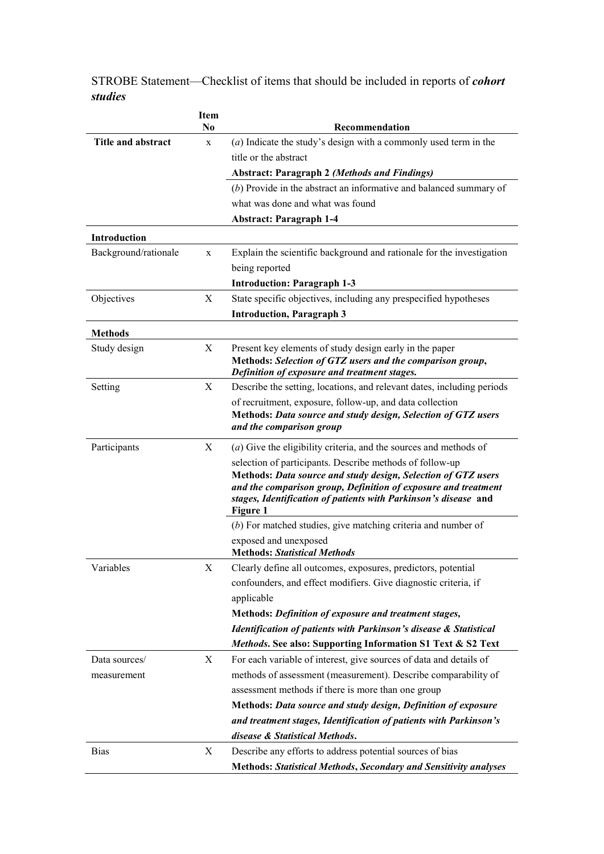|                      | Item<br>N <sub>0</sub> | Recommendation                                                                                                                  |
|----------------------|------------------------|---------------------------------------------------------------------------------------------------------------------------------|
| Title and abstract   | X                      | $(a)$ Indicate the study's design with a commonly used term in the                                                              |
|                      |                        | title or the abstract                                                                                                           |
|                      |                        | <b>Abstract: Paragraph 2 (Methods and Findings)</b>                                                                             |
|                      |                        | $(b)$ Provide in the abstract an informative and balanced summary of                                                            |
|                      |                        | what was done and what was found                                                                                                |
|                      |                        | <b>Abstract: Paragraph 1-4</b>                                                                                                  |
| Introduction         |                        |                                                                                                                                 |
| Background/rationale | X                      | Explain the scientific background and rationale for the investigation                                                           |
|                      |                        | being reported                                                                                                                  |
|                      |                        | <b>Introduction: Paragraph 1-3</b>                                                                                              |
| Objectives           | X                      | State specific objectives, including any prespecified hypotheses                                                                |
|                      |                        | <b>Introduction, Paragraph 3</b>                                                                                                |
| <b>Methods</b>       |                        |                                                                                                                                 |
| Study design         | X                      | Present key elements of study design early in the paper                                                                         |
|                      |                        | Methods: Selection of GTZ users and the comparison group,                                                                       |
| Setting              | X                      | Definition of exposure and treatment stages.<br>Describe the setting, locations, and relevant dates, including periods          |
|                      |                        | of recruitment, exposure, follow-up, and data collection                                                                        |
|                      |                        | Methods: Data source and study design, Selection of GTZ users                                                                   |
|                      |                        | and the comparison group                                                                                                        |
| Participants         | X                      | (a) Give the eligibility criteria, and the sources and methods of                                                               |
|                      |                        | selection of participants. Describe methods of follow-up                                                                        |
|                      |                        | Methods: Data source and study design, Selection of GTZ users<br>and the comparison group, Definition of exposure and treatment |
|                      |                        | stages, Identification of patients with Parkinson's disease and                                                                 |
|                      |                        | Figure 1                                                                                                                        |
|                      |                        | $(b)$ For matched studies, give matching criteria and number of                                                                 |
|                      |                        | exposed and unexposed                                                                                                           |
|                      |                        | <b>Methods: Statistical Methods</b><br>Clearly define all outcomes, exposures, predictors, potential                            |
| Variables            | Χ                      | confounders, and effect modifiers. Give diagnostic criteria, if                                                                 |
|                      |                        | applicable                                                                                                                      |
|                      |                        | Methods: Definition of exposure and treatment stages,                                                                           |
|                      |                        | Identification of patients with Parkinson's disease & Statistical                                                               |
|                      |                        | Methods. See also: Supporting Information S1 Text & S2 Text                                                                     |
| Data sources/        | X                      | For each variable of interest, give sources of data and details of                                                              |
| measurement          |                        | methods of assessment (measurement). Describe comparability of                                                                  |
|                      |                        | assessment methods if there is more than one group                                                                              |
|                      |                        | Methods: Data source and study design, Definition of exposure                                                                   |
|                      |                        | and treatment stages, Identification of patients with Parkinson's                                                               |
|                      |                        | disease & Statistical Methods.                                                                                                  |
| <b>Bias</b>          | X                      | Describe any efforts to address potential sources of bias                                                                       |
|                      |                        | <b>Methods: Statistical Methods, Secondary and Sensitivity analyses</b>                                                         |

STROBE Statement—Checklist of items that should be included in reports of *cohort studies*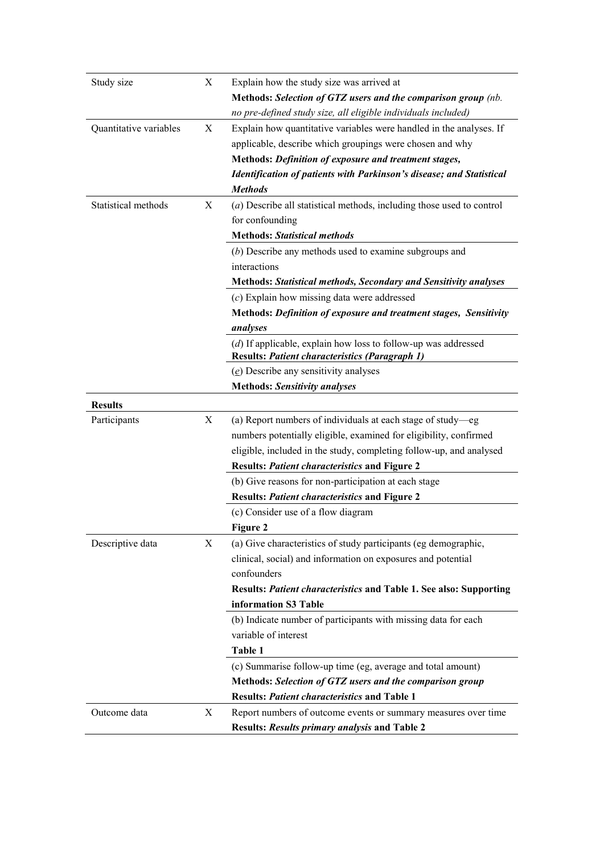| Study size             | X | Explain how the study size was arrived at                               |
|------------------------|---|-------------------------------------------------------------------------|
|                        |   | Methods: Selection of GTZ users and the comparison group (nb.           |
|                        |   | no pre-defined study size, all eligible individuals included)           |
| Quantitative variables | X | Explain how quantitative variables were handled in the analyses. If     |
|                        |   | applicable, describe which groupings were chosen and why                |
|                        |   | Methods: Definition of exposure and treatment stages,                   |
|                        |   | Identification of patients with Parkinson's disease; and Statistical    |
|                        |   | <b>Methods</b>                                                          |
| Statistical methods    | X | $(a)$ Describe all statistical methods, including those used to control |
|                        |   | for confounding                                                         |
|                        |   | <b>Methods: Statistical methods</b>                                     |
|                        |   | $(b)$ Describe any methods used to examine subgroups and                |
|                        |   | interactions                                                            |
|                        |   | <b>Methods: Statistical methods, Secondary and Sensitivity analyses</b> |
|                        |   | $(c)$ Explain how missing data were addressed                           |
|                        |   | Methods: Definition of exposure and treatment stages, Sensitivity       |
|                        |   | analyses                                                                |
|                        |   | $(d)$ If applicable, explain how loss to follow-up was addressed        |
|                        |   | <b>Results: Patient characteristics (Paragraph 1)</b>                   |
|                        |   | $(e)$ Describe any sensitivity analyses                                 |
|                        |   | <b>Methods: Sensitivity analyses</b>                                    |
| <b>Results</b>         |   |                                                                         |
| Participants           | X | (a) Report numbers of individuals at each stage of study-eg             |
|                        |   | numbers potentially eligible, examined for eligibility, confirmed       |
|                        |   | eligible, included in the study, completing follow-up, and analysed     |
|                        |   | <b>Results: Patient characteristics and Figure 2</b>                    |
|                        |   | (b) Give reasons for non-participation at each stage                    |
|                        |   | <b>Results: Patient characteristics and Figure 2</b>                    |
|                        |   | (c) Consider use of a flow diagram                                      |
|                        |   | Figure 2                                                                |
| Descriptive data       | X | (a) Give characteristics of study participants (eg demographic,         |
|                        |   | clinical, social) and information on exposures and potential            |
|                        |   | confounders                                                             |
|                        |   | Results: Patient characteristics and Table 1. See also: Supporting      |
|                        |   | information S3 Table                                                    |
|                        |   | (b) Indicate number of participants with missing data for each          |
|                        |   | variable of interest                                                    |
|                        |   | Table 1                                                                 |
|                        |   | (c) Summarise follow-up time (eg, average and total amount)             |
|                        |   | Methods: Selection of GTZ users and the comparison group                |
|                        |   | <b>Results: Patient characteristics and Table 1</b>                     |
| Outcome data           | X | Report numbers of outcome events or summary measures over time          |
|                        |   | <b>Results: Results primary analysis and Table 2</b>                    |